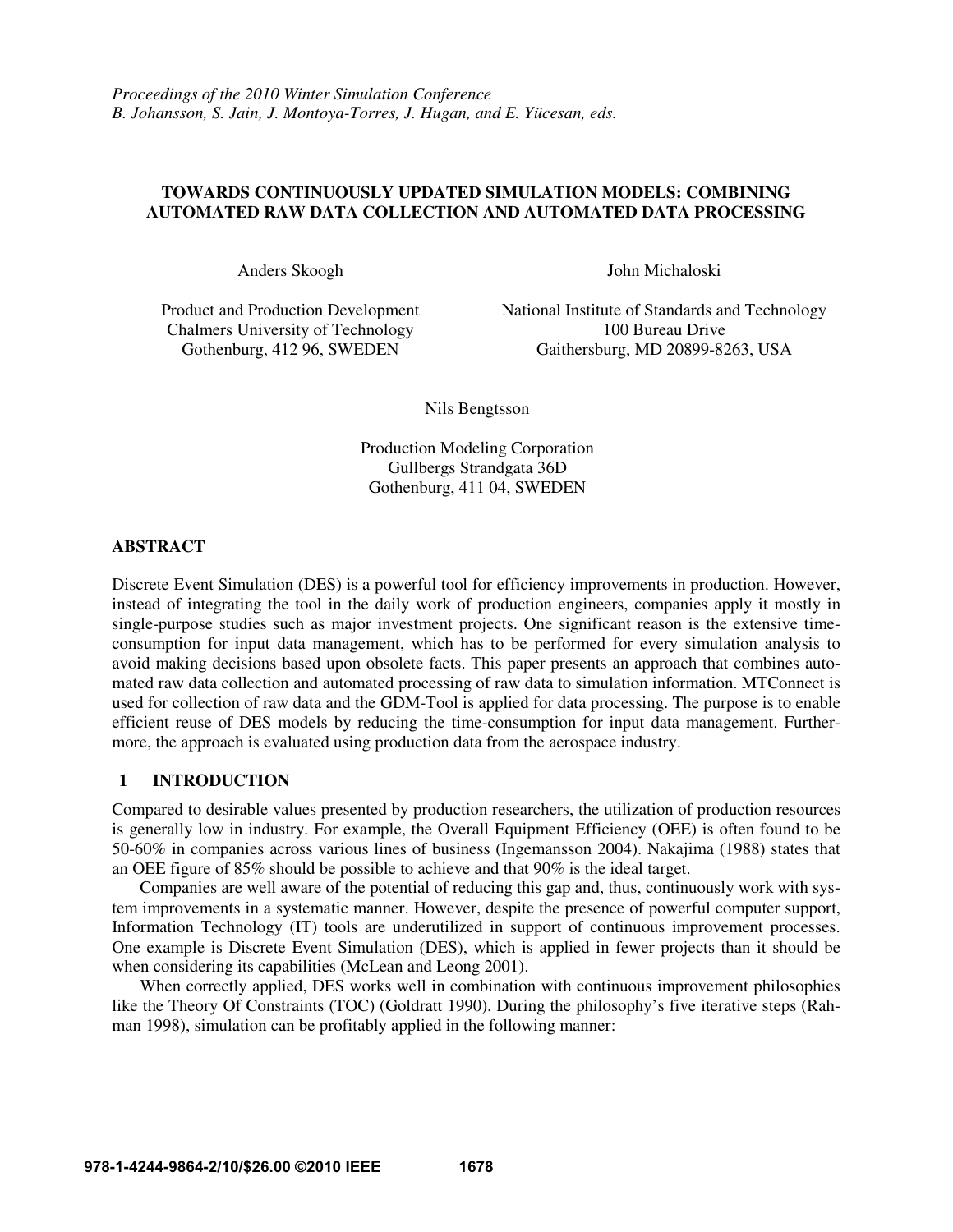#### **TOWARDS CONTINUOUSLY UPDATED SIMULATION MODELS: COMBINING AUTOMATED RAW DATA COLLECTION AND AUTOMATED DATA PROCESSING**

Chalmers University of Technology 100 Bureau Drive<br>Gothenburg, 412 96, SWEDEN Gaithersburg, MD 20899-82

Anders Skoogh John Michaloski

Product and Production Development National Institute of Standards and Technology Gaithersburg, MD 20899-8263, USA

Nils Bengtsson

Production Modeling Corporation Gullbergs Strandgata 36D Gothenburg, 411 04, SWEDEN

#### **ABSTRACT**

Discrete Event Simulation (DES) is a powerful tool for efficiency improvements in production. However, instead of integrating the tool in the daily work of production engineers, companies apply it mostly in single-purpose studies such as major investment projects. One significant reason is the extensive timeconsumption for input data management, which has to be performed for every simulation analysis to avoid making decisions based upon obsolete facts. This paper presents an approach that combines automated raw data collection and automated processing of raw data to simulation information. MTConnect is used for collection of raw data and the GDM-Tool is applied for data processing. The purpose is to enable efficient reuse of DES models by reducing the time-consumption for input data management. Furthermore, the approach is evaluated using production data from the aerospace industry.

## **1 INTRODUCTION**

Compared to desirable values presented by production researchers, the utilization of production resources is generally low in industry. For example, the Overall Equipment Efficiency (OEE) is often found to be 50-60% in companies across various lines of business (Ingemansson 2004). Nakajima (1988) states that an OEE figure of 85% should be possible to achieve and that 90% is the ideal target.

 Companies are well aware of the potential of reducing this gap and, thus, continuously work with system improvements in a systematic manner. However, despite the presence of powerful computer support, Information Technology (IT) tools are underutilized in support of continuous improvement processes. One example is Discrete Event Simulation (DES), which is applied in fewer projects than it should be when considering its capabilities (McLean and Leong 2001).

 When correctly applied, DES works well in combination with continuous improvement philosophies like the Theory Of Constraints (TOC) (Goldratt 1990). During the philosophy's five iterative steps (Rahman 1998), simulation can be profitably applied in the following manner: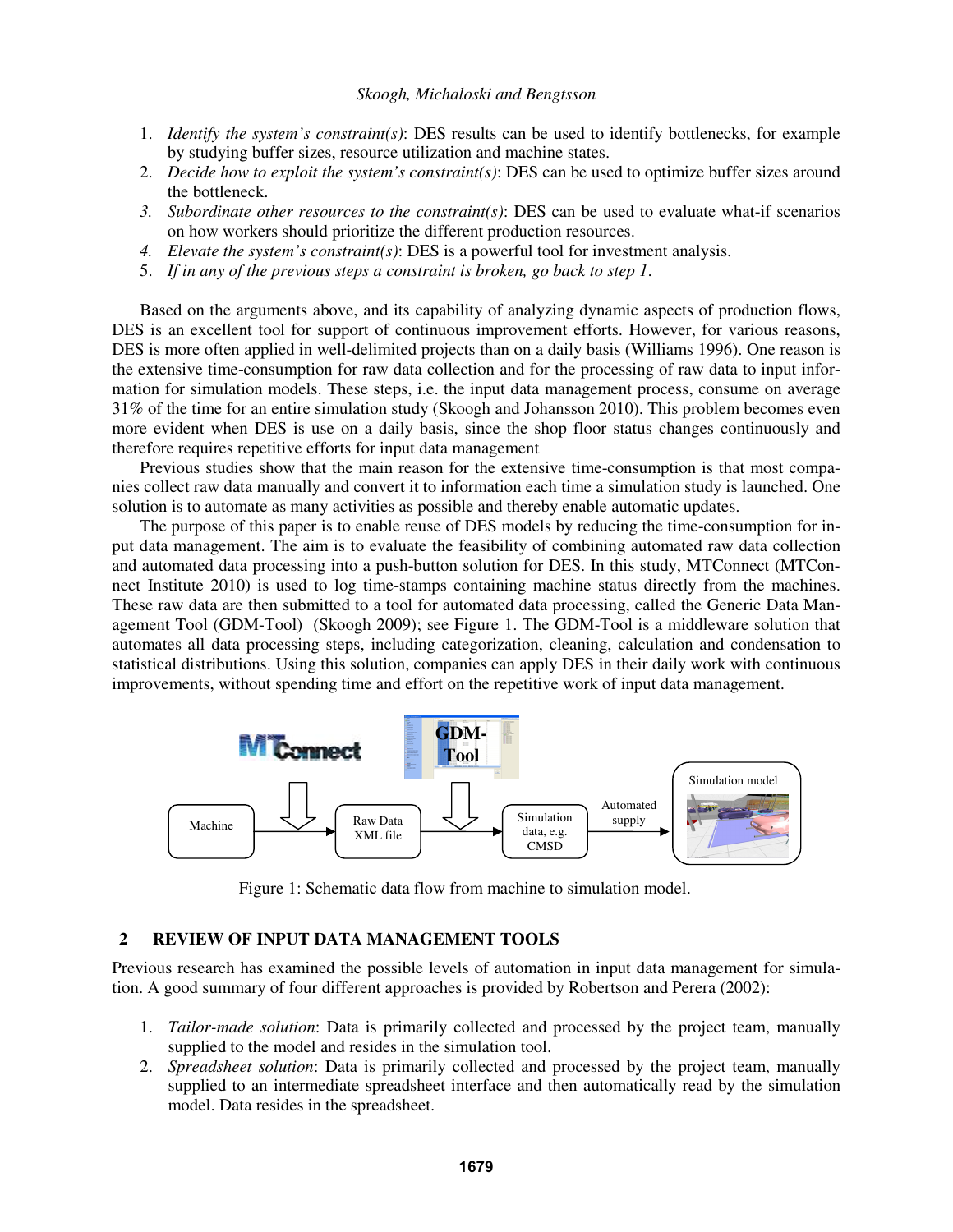- 1. *Identify the system's constraint(s)*: DES results can be used to identify bottlenecks, for example by studying buffer sizes, resource utilization and machine states.
- 2. *Decide how to exploit the system's constraint(s)*: DES can be used to optimize buffer sizes around the bottleneck.
- *3. Subordinate other resources to the constraint(s)*: DES can be used to evaluate what-if scenarios on how workers should prioritize the different production resources.
- *4. Elevate the system's constraint(s)*: DES is a powerful tool for investment analysis.
- 5. *If in any of the previous steps a constraint is broken, go back to step 1*.

 Based on the arguments above, and its capability of analyzing dynamic aspects of production flows, DES is an excellent tool for support of continuous improvement efforts. However, for various reasons, DES is more often applied in well-delimited projects than on a daily basis (Williams 1996). One reason is the extensive time-consumption for raw data collection and for the processing of raw data to input information for simulation models. These steps, i.e. the input data management process, consume on average 31% of the time for an entire simulation study (Skoogh and Johansson 2010). This problem becomes even more evident when DES is use on a daily basis, since the shop floor status changes continuously and therefore requires repetitive efforts for input data management

 Previous studies show that the main reason for the extensive time-consumption is that most companies collect raw data manually and convert it to information each time a simulation study is launched. One solution is to automate as many activities as possible and thereby enable automatic updates.

 The purpose of this paper is to enable reuse of DES models by reducing the time-consumption for input data management. The aim is to evaluate the feasibility of combining automated raw data collection and automated data processing into a push-button solution for DES. In this study, MTConnect (MTConnect Institute 2010) is used to log time-stamps containing machine status directly from the machines. These raw data are then submitted to a tool for automated data processing, called the Generic Data Management Tool (GDM-Tool) (Skoogh 2009); see Figure 1. The GDM-Tool is a middleware solution that automates all data processing steps, including categorization, cleaning, calculation and condensation to statistical distributions. Using this solution, companies can apply DES in their daily work with continuous improvements, without spending time and effort on the repetitive work of input data management.



Figure 1: Schematic data flow from machine to simulation model.

#### **2 REVIEW OF INPUT DATA MANAGEMENT TOOLS**

Previous research has examined the possible levels of automation in input data management for simulation. A good summary of four different approaches is provided by Robertson and Perera (2002):

- 1. *Tailor-made solution*: Data is primarily collected and processed by the project team, manually supplied to the model and resides in the simulation tool.
- 2. *Spreadsheet solution*: Data is primarily collected and processed by the project team, manually supplied to an intermediate spreadsheet interface and then automatically read by the simulation model. Data resides in the spreadsheet.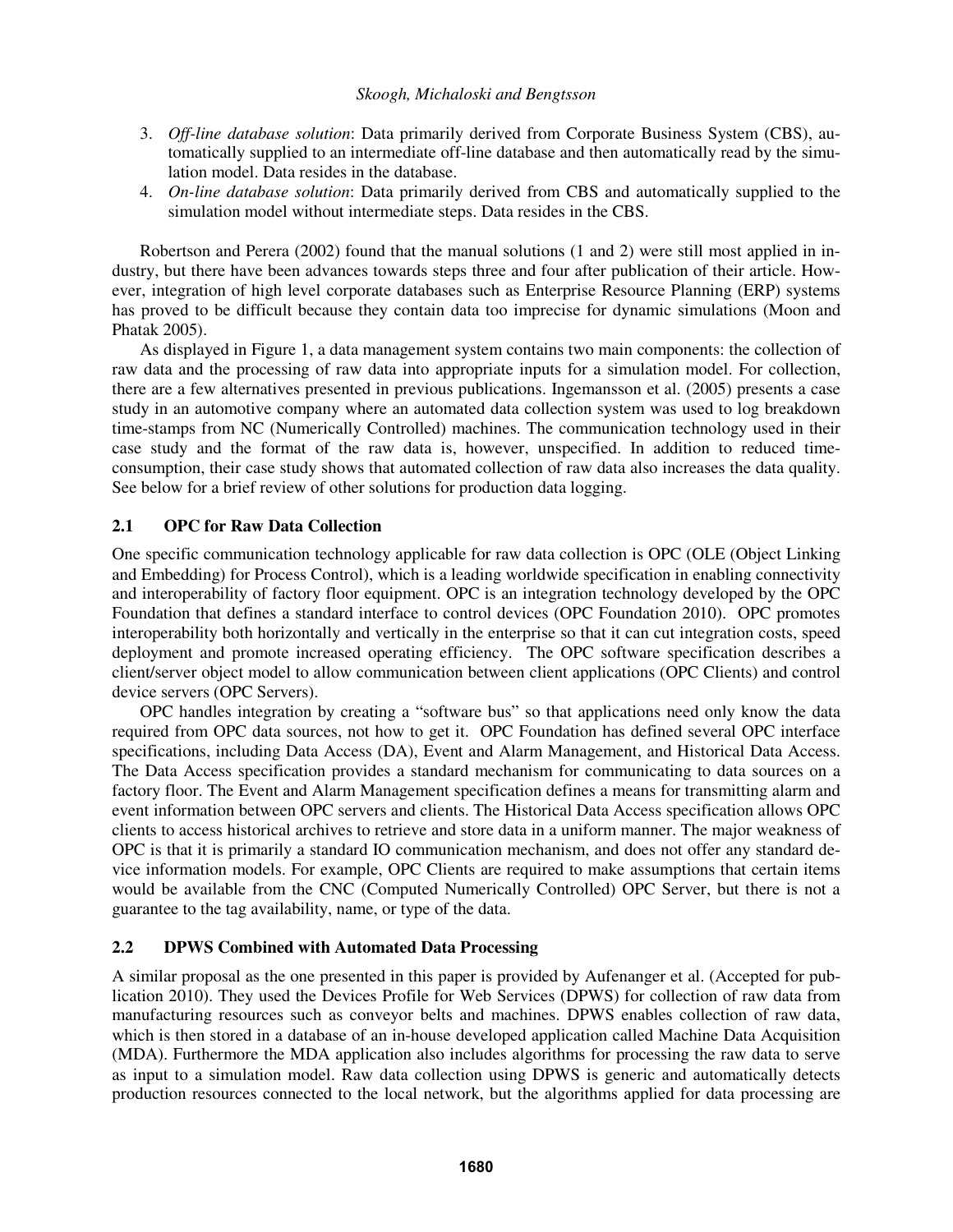- 3. *Off-line database solution*: Data primarily derived from Corporate Business System (CBS), automatically supplied to an intermediate off-line database and then automatically read by the simulation model. Data resides in the database.
- 4. *On-line database solution*: Data primarily derived from CBS and automatically supplied to the simulation model without intermediate steps. Data resides in the CBS.

 Robertson and Perera (2002) found that the manual solutions (1 and 2) were still most applied in industry, but there have been advances towards steps three and four after publication of their article. However, integration of high level corporate databases such as Enterprise Resource Planning (ERP) systems has proved to be difficult because they contain data too imprecise for dynamic simulations (Moon and Phatak 2005).

 As displayed in Figure 1, a data management system contains two main components: the collection of raw data and the processing of raw data into appropriate inputs for a simulation model. For collection, there are a few alternatives presented in previous publications. Ingemansson et al. (2005) presents a case study in an automotive company where an automated data collection system was used to log breakdown time-stamps from NC (Numerically Controlled) machines. The communication technology used in their case study and the format of the raw data is, however, unspecified. In addition to reduced timeconsumption, their case study shows that automated collection of raw data also increases the data quality. See below for a brief review of other solutions for production data logging.

## **2.1 OPC for Raw Data Collection**

One specific communication technology applicable for raw data collection is OPC (OLE (Object Linking and Embedding) for Process Control), which is a leading worldwide specification in enabling connectivity and interoperability of factory floor equipment. OPC is an integration technology developed by the OPC Foundation that defines a standard interface to control devices (OPC Foundation 2010). OPC promotes interoperability both horizontally and vertically in the enterprise so that it can cut integration costs, speed deployment and promote increased operating efficiency. The OPC software specification describes a client/server object model to allow communication between client applications (OPC Clients) and control device servers (OPC Servers).

 OPC handles integration by creating a "software bus" so that applications need only know the data required from OPC data sources, not how to get it. OPC Foundation has defined several OPC interface specifications, including Data Access (DA), Event and Alarm Management, and Historical Data Access. The Data Access specification provides a standard mechanism for communicating to data sources on a factory floor. The Event and Alarm Management specification defines a means for transmitting alarm and event information between OPC servers and clients. The Historical Data Access specification allows OPC clients to access historical archives to retrieve and store data in a uniform manner. The major weakness of OPC is that it is primarily a standard IO communication mechanism, and does not offer any standard device information models. For example, OPC Clients are required to make assumptions that certain items would be available from the CNC (Computed Numerically Controlled) OPC Server, but there is not a guarantee to the tag availability, name, or type of the data.

## **2.2 DPWS Combined with Automated Data Processing**

A similar proposal as the one presented in this paper is provided by Aufenanger et al. (Accepted for publication 2010). They used the Devices Profile for Web Services (DPWS) for collection of raw data from manufacturing resources such as conveyor belts and machines. DPWS enables collection of raw data, which is then stored in a database of an in-house developed application called Machine Data Acquisition (MDA). Furthermore the MDA application also includes algorithms for processing the raw data to serve as input to a simulation model. Raw data collection using DPWS is generic and automatically detects production resources connected to the local network, but the algorithms applied for data processing are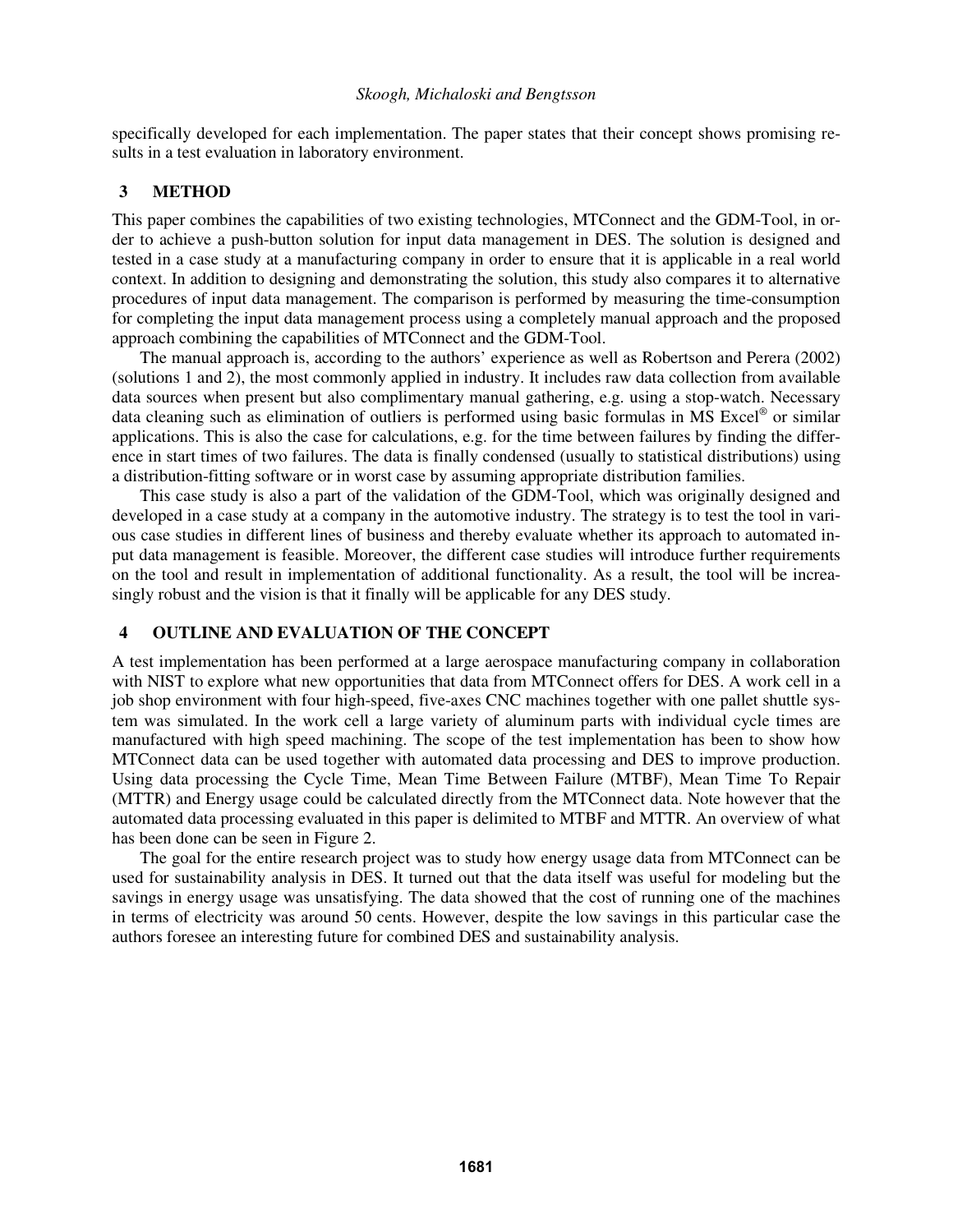specifically developed for each implementation. The paper states that their concept shows promising results in a test evaluation in laboratory environment.

#### **3 METHOD**

This paper combines the capabilities of two existing technologies, MTConnect and the GDM-Tool, in order to achieve a push-button solution for input data management in DES. The solution is designed and tested in a case study at a manufacturing company in order to ensure that it is applicable in a real world context. In addition to designing and demonstrating the solution, this study also compares it to alternative procedures of input data management. The comparison is performed by measuring the time-consumption for completing the input data management process using a completely manual approach and the proposed approach combining the capabilities of MTConnect and the GDM-Tool.

 The manual approach is, according to the authors' experience as well as Robertson and Perera (2002) (solutions 1 and 2), the most commonly applied in industry. It includes raw data collection from available data sources when present but also complimentary manual gathering, e.g. using a stop-watch. Necessary data cleaning such as elimination of outliers is performed using basic formulas in MS Excel® or similar applications. This is also the case for calculations, e.g. for the time between failures by finding the difference in start times of two failures. The data is finally condensed (usually to statistical distributions) using a distribution-fitting software or in worst case by assuming appropriate distribution families.

 This case study is also a part of the validation of the GDM-Tool, which was originally designed and developed in a case study at a company in the automotive industry. The strategy is to test the tool in various case studies in different lines of business and thereby evaluate whether its approach to automated input data management is feasible. Moreover, the different case studies will introduce further requirements on the tool and result in implementation of additional functionality. As a result, the tool will be increasingly robust and the vision is that it finally will be applicable for any DES study.

#### **4 OUTLINE AND EVALUATION OF THE CONCEPT**

A test implementation has been performed at a large aerospace manufacturing company in collaboration with NIST to explore what new opportunities that data from MTConnect offers for DES. A work cell in a job shop environment with four high-speed, five-axes CNC machines together with one pallet shuttle system was simulated. In the work cell a large variety of aluminum parts with individual cycle times are manufactured with high speed machining. The scope of the test implementation has been to show how MTConnect data can be used together with automated data processing and DES to improve production. Using data processing the Cycle Time, Mean Time Between Failure (MTBF), Mean Time To Repair (MTTR) and Energy usage could be calculated directly from the MTConnect data. Note however that the automated data processing evaluated in this paper is delimited to MTBF and MTTR. An overview of what has been done can be seen in Figure 2.

 The goal for the entire research project was to study how energy usage data from MTConnect can be used for sustainability analysis in DES. It turned out that the data itself was useful for modeling but the savings in energy usage was unsatisfying. The data showed that the cost of running one of the machines in terms of electricity was around 50 cents. However, despite the low savings in this particular case the authors foresee an interesting future for combined DES and sustainability analysis.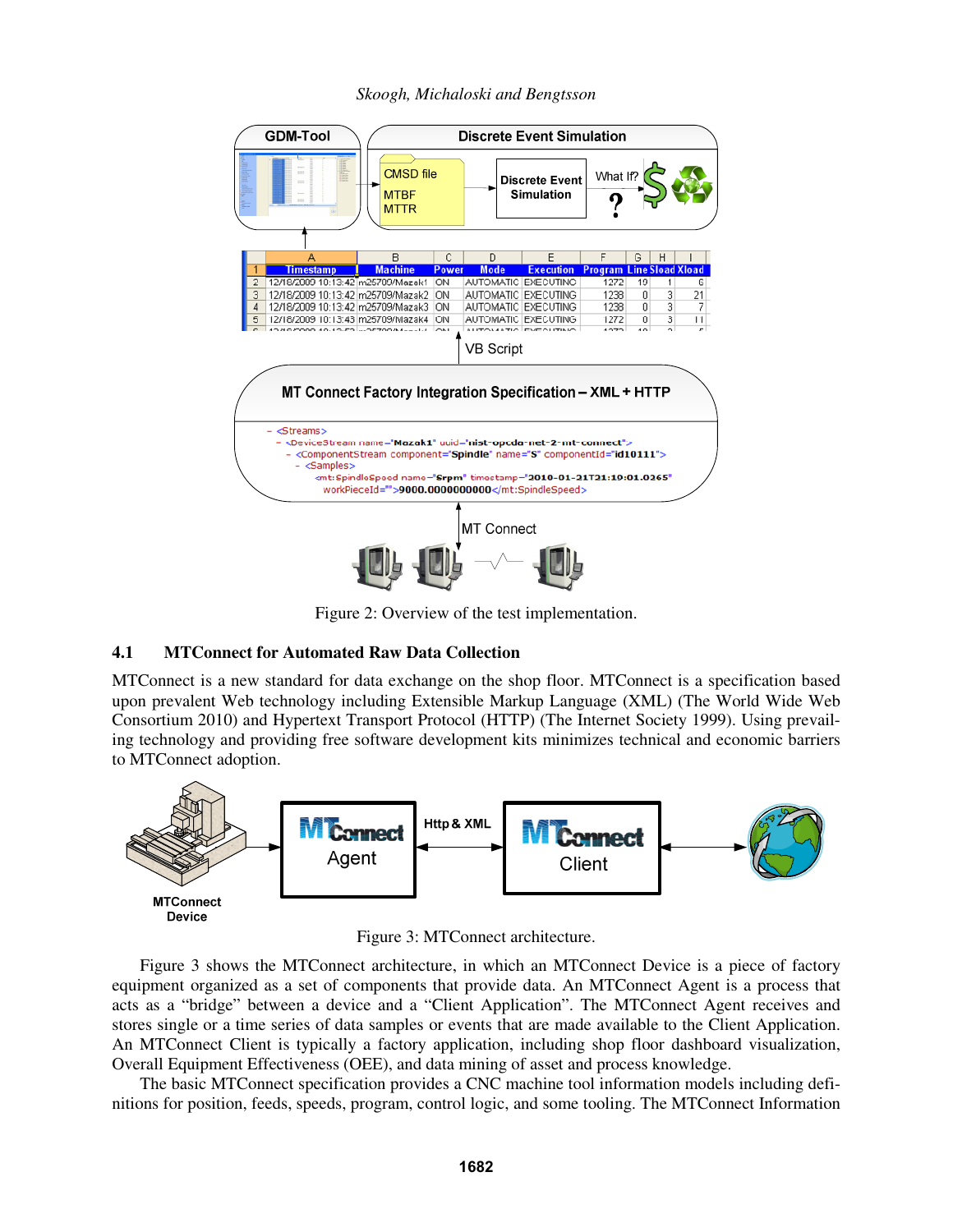

Figure 2: Overview of the test implementation.

## **4.1 MTConnect for Automated Raw Data Collection**

MTConnect is a new standard for data exchange on the shop floor. MTConnect is a specification based upon prevalent Web technology including Extensible Markup Language (XML) (The World Wide Web Consortium 2010) and Hypertext Transport Protocol (HTTP) (The Internet Society 1999). Using prevailing technology and providing free software development kits minimizes technical and economic barriers to MTConnect adoption.



Figure 3: MTConnect architecture.

 Figure 3 shows the MTConnect architecture, in which an MTConnect Device is a piece of factory equipment organized as a set of components that provide data. An MTConnect Agent is a process that acts as a "bridge" between a device and a "Client Application". The MTConnect Agent receives and stores single or a time series of data samples or events that are made available to the Client Application. An MTConnect Client is typically a factory application, including shop floor dashboard visualization, Overall Equipment Effectiveness (OEE), and data mining of asset and process knowledge.

 The basic MTConnect specification provides a CNC machine tool information models including definitions for position, feeds, speeds, program, control logic, and some tooling. The MTConnect Information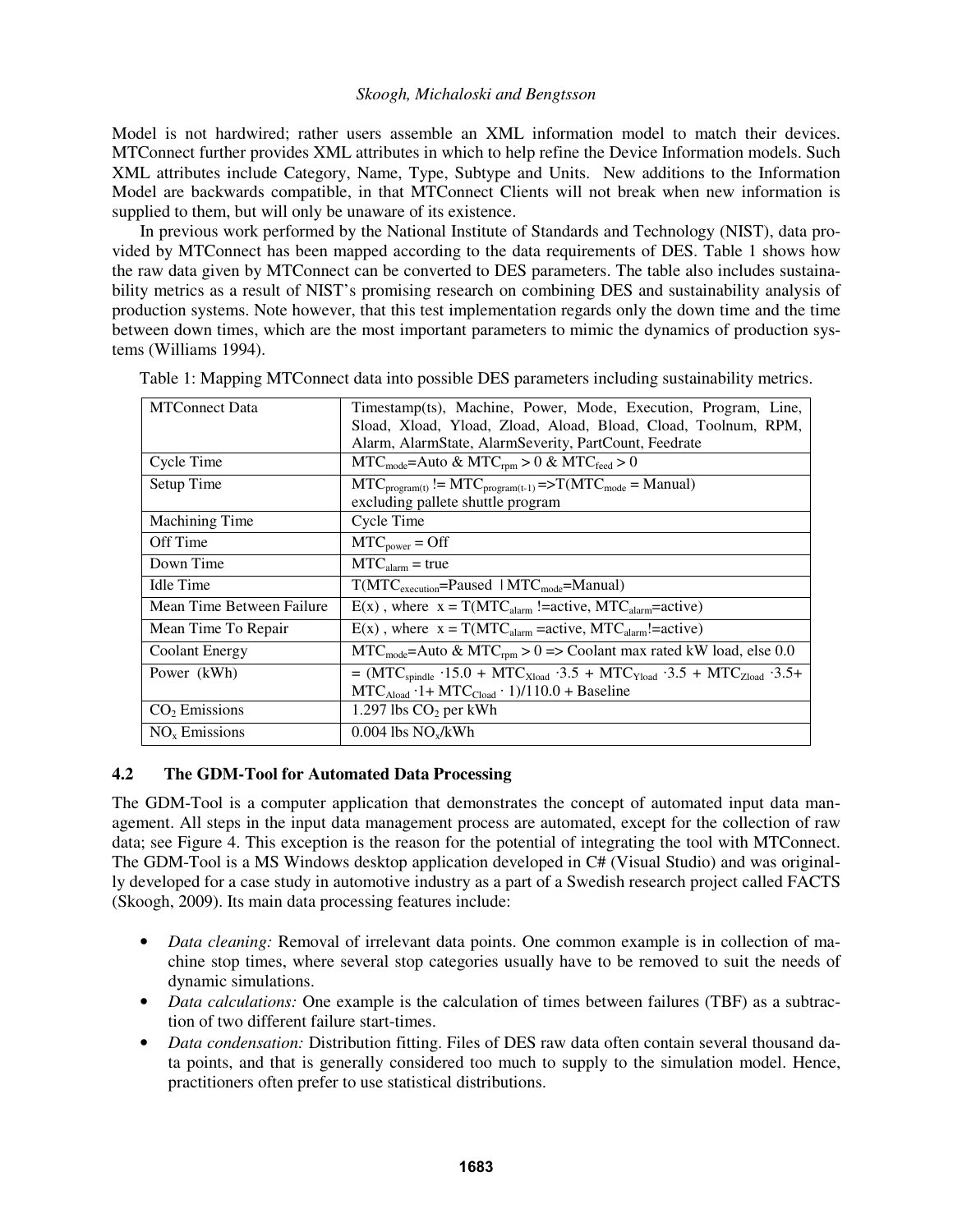Model is not hardwired; rather users assemble an XML information model to match their devices. MTConnect further provides XML attributes in which to help refine the Device Information models. Such XML attributes include Category, Name, Type, Subtype and Units. New additions to the Information Model are backwards compatible, in that MTConnect Clients will not break when new information is supplied to them, but will only be unaware of its existence.

 In previous work performed by the National Institute of Standards and Technology (NIST), data provided by MTConnect has been mapped according to the data requirements of DES. Table 1 shows how the raw data given by MTConnect can be converted to DES parameters. The table also includes sustainability metrics as a result of NIST's promising research on combining DES and sustainability analysis of production systems. Note however, that this test implementation regards only the down time and the time between down times, which are the most important parameters to mimic the dynamics of production systems (Williams 1994).

| <b>MTConnect Data</b>     | Timestamp(ts), Machine, Power, Mode, Execution, Program, Line,                                          |  |  |  |  |  |  |  |  |  |
|---------------------------|---------------------------------------------------------------------------------------------------------|--|--|--|--|--|--|--|--|--|
|                           | Sload, Xload, Yload, Zload, Aload, Bload, Cload, Toolnum, RPM,                                          |  |  |  |  |  |  |  |  |  |
|                           | Alarm, AlarmState, AlarmSeverity, PartCount, Feedrate                                                   |  |  |  |  |  |  |  |  |  |
| Cycle Time                | $MTC_{mode}$ =Auto & MTC <sub>rpm</sub> > 0 & MTC <sub>feed</sub> > 0                                   |  |  |  |  |  |  |  |  |  |
| Setup Time                | $MTC_{\text{program}(t)} := MTC_{\text{program}(t-1)} \implies T(MTC_{\text{mode}} = \text{Manual})$    |  |  |  |  |  |  |  |  |  |
|                           | excluding pallete shuttle program                                                                       |  |  |  |  |  |  |  |  |  |
| <b>Machining Time</b>     | Cycle Time                                                                                              |  |  |  |  |  |  |  |  |  |
| Off Time                  | $MTC_{power} = Off$                                                                                     |  |  |  |  |  |  |  |  |  |
| Down Time                 | $MTC_{\text{alarm}}$ = true                                                                             |  |  |  |  |  |  |  |  |  |
| <b>Idle Time</b>          | $T(MTC_{execution} = \text{Paused} \mid MTC_{mode} = \text{Manual})$                                    |  |  |  |  |  |  |  |  |  |
| Mean Time Between Failure | $E(x)$ , where $x = T(MTC_{\text{alarm}}! = active, MTC_{\text{alarm}} = active)$                       |  |  |  |  |  |  |  |  |  |
| Mean Time To Repair       | $E(x)$ , where $x = T(MTC_{\text{alarm}} = active, MTC_{\text{alarm}} = active)$                        |  |  |  |  |  |  |  |  |  |
| Coolant Energy            | $MTC_{mode}$ =Auto & MTC <sub>rpm</sub> > 0 => Coolant max rated kW load, else 0.0                      |  |  |  |  |  |  |  |  |  |
| Power (kWh)               | $= (MTC_{spindle} \cdot 15.0 + MTC_{Xload} \cdot 3.5 + MTC_{Yload} \cdot 3.5 + MTC_{Zload} \cdot 3.5 +$ |  |  |  |  |  |  |  |  |  |
|                           | $MTC_{\text{Aload}} \cdot 1 + MTC_{\text{Cloud}} \cdot 1)/110.0 + Baseline$                             |  |  |  |  |  |  |  |  |  |
| $CO2$ Emissions           | 1.297 lbs $CO2$ per kWh                                                                                 |  |  |  |  |  |  |  |  |  |
| $NOx$ Emissions           | $0.004$ lbs $NO_x/kWh$                                                                                  |  |  |  |  |  |  |  |  |  |

Table 1: Mapping MTConnect data into possible DES parameters including sustainability metrics.

## **4.2 The GDM-Tool for Automated Data Processing**

The GDM-Tool is a computer application that demonstrates the concept of automated input data management. All steps in the input data management process are automated, except for the collection of raw data; see Figure 4. This exception is the reason for the potential of integrating the tool with MTConnect. The GDM-Tool is a MS Windows desktop application developed in  $C#$  (Visual Studio) and was originally developed for a case study in automotive industry as a part of a Swedish research project called FACTS (Skoogh, 2009). Its main data processing features include:

- *Data cleaning:* Removal of irrelevant data points. One common example is in collection of machine stop times, where several stop categories usually have to be removed to suit the needs of dynamic simulations.
- *Data calculations:* One example is the calculation of times between failures (TBF) as a subtraction of two different failure start-times.
- *Data condensation:* Distribution fitting. Files of DES raw data often contain several thousand data points, and that is generally considered too much to supply to the simulation model. Hence, practitioners often prefer to use statistical distributions.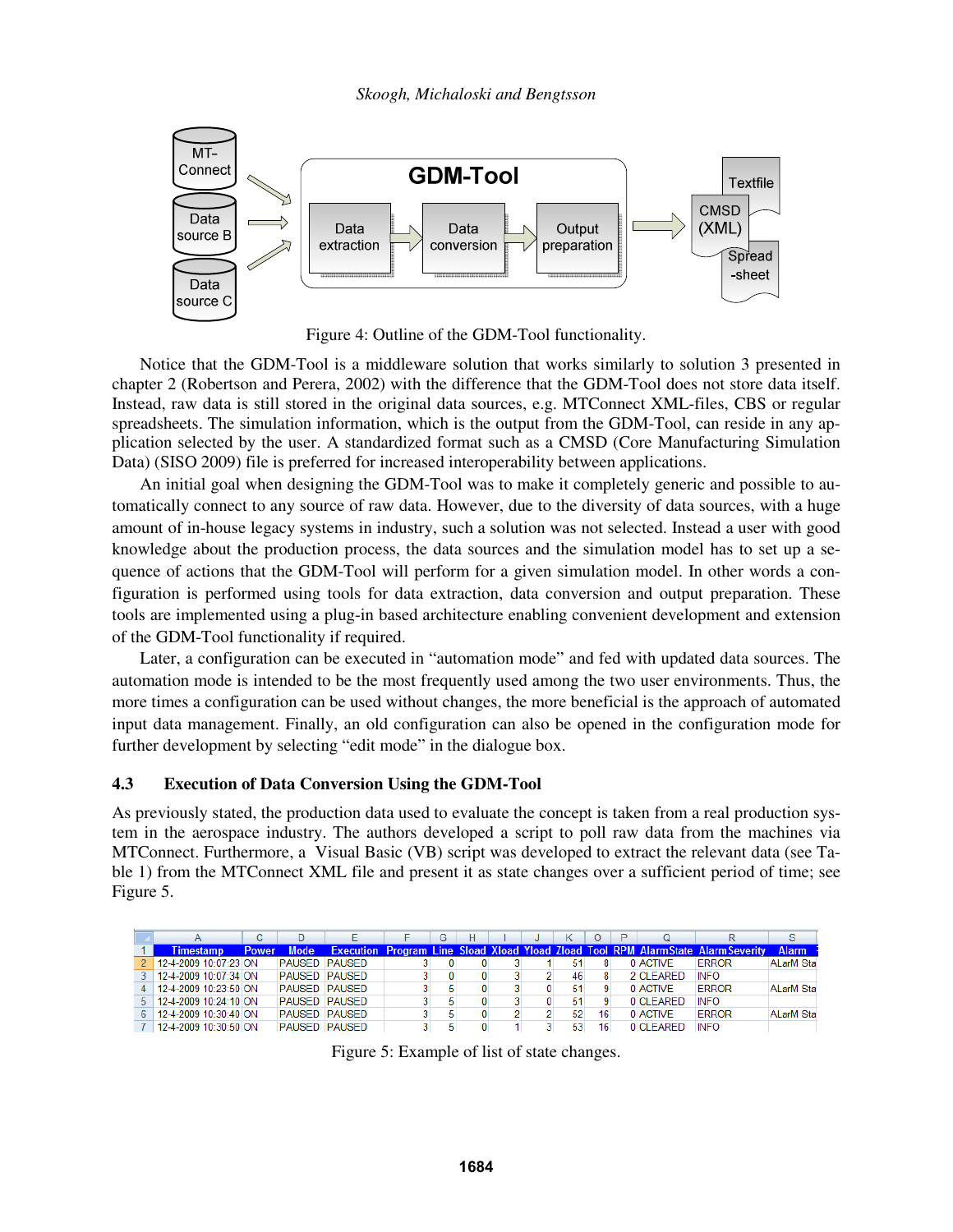

Figure 4: Outline of the GDM-Tool functionality.

 Notice that the GDM-Tool is a middleware solution that works similarly to solution 3 presented in chapter 2 (Robertson and Perera, 2002) with the difference that the GDM-Tool does not store data itself. Instead, raw data is still stored in the original data sources, e.g. MTConnect XML-files, CBS or regular spreadsheets. The simulation information, which is the output from the GDM-Tool, can reside in any application selected by the user. A standardized format such as a CMSD (Core Manufacturing Simulation Data) (SISO 2009) file is preferred for increased interoperability between applications.

 An initial goal when designing the GDM-Tool was to make it completely generic and possible to automatically connect to any source of raw data. However, due to the diversity of data sources, with a huge amount of in-house legacy systems in industry, such a solution was not selected. Instead a user with good knowledge about the production process, the data sources and the simulation model has to set up a sequence of actions that the GDM-Tool will perform for a given simulation model. In other words a configuration is performed using tools for data extraction, data conversion and output preparation. These tools are implemented using a plug-in based architecture enabling convenient development and extension of the GDM-Tool functionality if required.

 Later, a configuration can be executed in "automation mode" and fed with updated data sources. The automation mode is intended to be the most frequently used among the two user environments. Thus, the more times a configuration can be used without changes, the more beneficial is the approach of automated input data management. Finally, an old configuration can also be opened in the configuration mode for further development by selecting "edit mode" in the dialogue box.

#### **4.3 Execution of Data Conversion Using the GDM-Tool**

As previously stated, the production data used to evaluate the concept is taken from a real production system in the aerospace industry. The authors developed a script to poll raw data from the machines via MTConnect. Furthermore, a Visual Basic (VB) script was developed to extract the relevant data (see Table 1) from the MTConnect XML file and present it as state changes over a sufficient period of time; see Figure 5.

|                       |              |                      |  | G | н |  |    |    |           |                                                                                         | S.               |
|-----------------------|--------------|----------------------|--|---|---|--|----|----|-----------|-----------------------------------------------------------------------------------------|------------------|
| <b>Timestamp</b>      | <b>Power</b> | <b>Mode</b>          |  |   |   |  |    |    |           | <b>Execution Program Line Sload Xload Yload Zload Tool RPM AlarmState AlarmSeverity</b> | <b>Alarm</b>     |
| 12-4-2009 10:07:23 ON |              | <b>PAUSED PAUSED</b> |  |   |   |  | 51 |    | 0 ACTIVE  | ERROR                                                                                   | <b>ALarM Sta</b> |
| 12-4-2009 10:07:34 ON |              | <b>PAUSED PAUSED</b> |  |   |   |  | 46 |    | 2 CLEARED | <b>INFO</b>                                                                             |                  |
| 12-4-2009 10:23:50 ON |              | <b>PAUSED PAUSED</b> |  |   |   |  | 51 |    | 0 ACTIVE  | <b>FRROR</b>                                                                            | <b>ALarM Sta</b> |
| 12-4-2009 10:24:10 ON |              | <b>PAUSED PAUSED</b> |  |   |   |  | 51 |    | 0 CLEARED | <b>INFO</b>                                                                             |                  |
| 12-4-2009 10:30:40 ON |              | <b>PAUSED PAUSED</b> |  |   |   |  | 52 | 16 | 0 ACTIVE  | <b>FRROR</b>                                                                            | <b>ALarM Sta</b> |
| 12-4-2009 10:30:50 ON |              | <b>PAUSED PAUSED</b> |  |   |   |  | 53 | 16 | 0 CLEARED | <b>INFO</b>                                                                             |                  |

Figure 5: Example of list of state changes.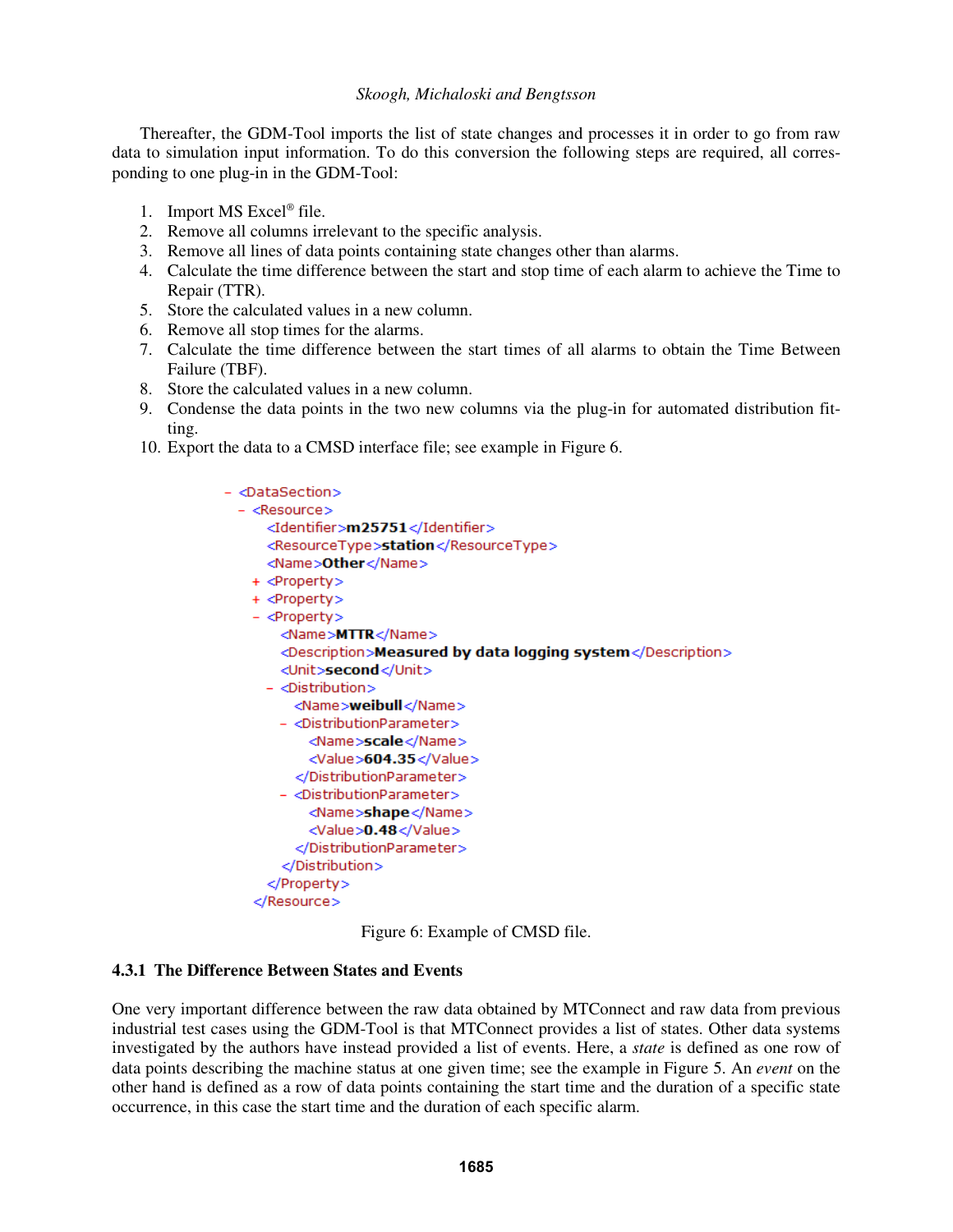Thereafter, the GDM-Tool imports the list of state changes and processes it in order to go from raw data to simulation input information. To do this conversion the following steps are required, all corresponding to one plug-in in the GDM-Tool:

- 1. Import MS Excel® file.
- 2. Remove all columns irrelevant to the specific analysis.
- 3. Remove all lines of data points containing state changes other than alarms.
- 4. Calculate the time difference between the start and stop time of each alarm to achieve the Time to Repair (TTR).
- 5. Store the calculated values in a new column.
- 6. Remove all stop times for the alarms.
- 7. Calculate the time difference between the start times of all alarms to obtain the Time Between Failure (TBF).
- 8. Store the calculated values in a new column.
- 9. Condense the data points in the two new columns via the plug-in for automated distribution fitting.
- 10. Export the data to a CMSD interface file; see example in Figure 6.



Figure 6: Example of CMSD file.

## **4.3.1 The Difference Between States and Events**

One very important difference between the raw data obtained by MTConnect and raw data from previous industrial test cases using the GDM-Tool is that MTConnect provides a list of states. Other data systems investigated by the authors have instead provided a list of events. Here, a *state* is defined as one row of data points describing the machine status at one given time; see the example in Figure 5. An *event* on the other hand is defined as a row of data points containing the start time and the duration of a specific state occurrence, in this case the start time and the duration of each specific alarm.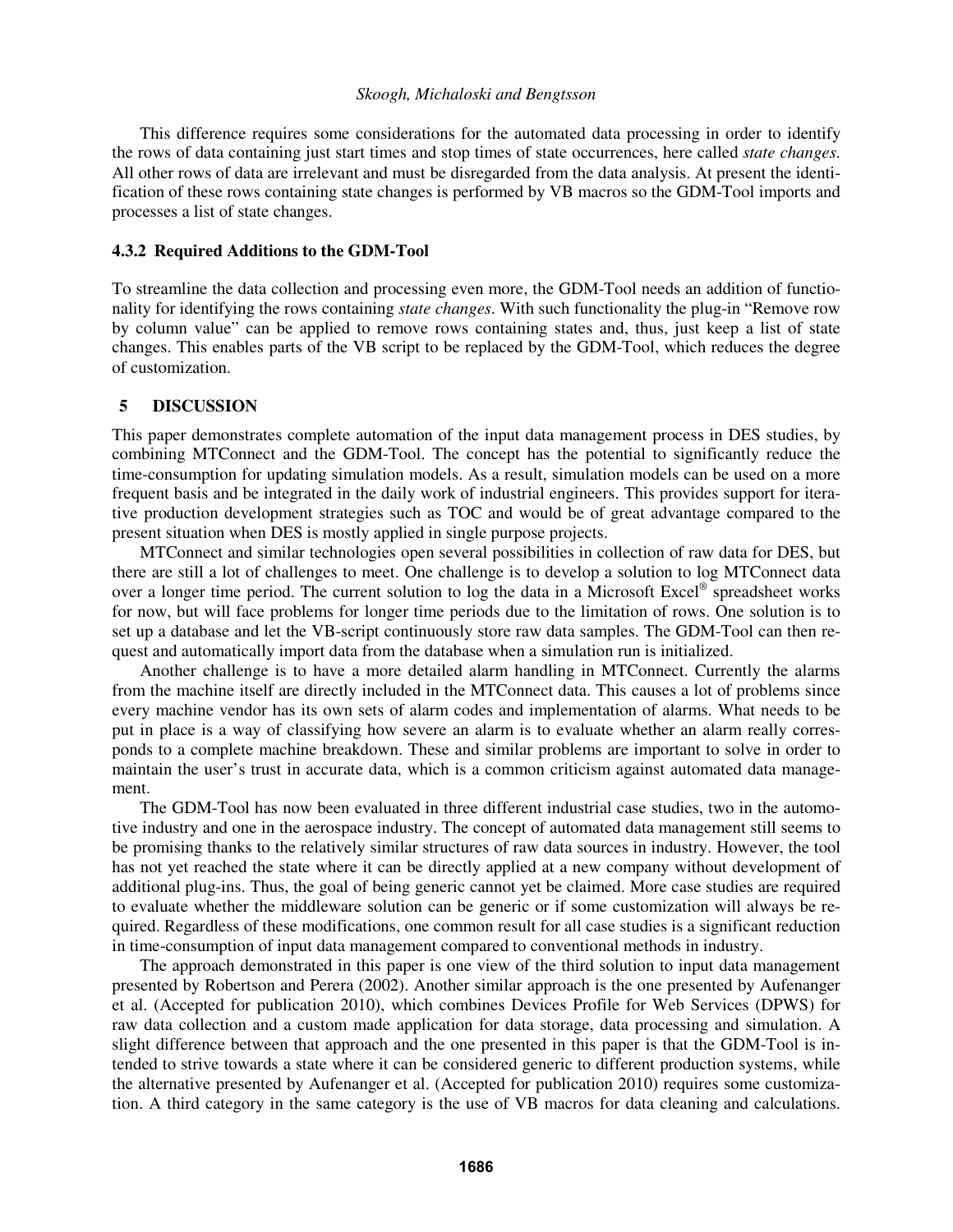This difference requires some considerations for the automated data processing in order to identify the rows of data containing just start times and stop times of state occurrences, here called *state changes*. All other rows of data are irrelevant and must be disregarded from the data analysis. At present the identification of these rows containing state changes is performed by VB macros so the GDM-Tool imports and processes a list of state changes.

#### **4.3.2 Required Additions to the GDM-Tool**

To streamline the data collection and processing even more, the GDM-Tool needs an addition of functionality for identifying the rows containing *state changes*. With such functionality the plug-in "Remove row by column value" can be applied to remove rows containing states and, thus, just keep a list of state changes. This enables parts of the VB script to be replaced by the GDM-Tool, which reduces the degree of customization.

#### **5 DISCUSSION**

This paper demonstrates complete automation of the input data management process in DES studies, by combining MTConnect and the GDM-Tool. The concept has the potential to significantly reduce the time-consumption for updating simulation models. As a result, simulation models can be used on a more frequent basis and be integrated in the daily work of industrial engineers. This provides support for iterative production development strategies such as TOC and would be of great advantage compared to the present situation when DES is mostly applied in single purpose projects.

 MTConnect and similar technologies open several possibilities in collection of raw data for DES, but there are still a lot of challenges to meet. One challenge is to develop a solution to log MTConnect data over a longer time period. The current solution to log the data in a Microsoft Excel<sup>®</sup> spreadsheet works for now, but will face problems for longer time periods due to the limitation of rows. One solution is to set up a database and let the VB-script continuously store raw data samples. The GDM-Tool can then request and automatically import data from the database when a simulation run is initialized.

 Another challenge is to have a more detailed alarm handling in MTConnect. Currently the alarms from the machine itself are directly included in the MTConnect data. This causes a lot of problems since every machine vendor has its own sets of alarm codes and implementation of alarms. What needs to be put in place is a way of classifying how severe an alarm is to evaluate whether an alarm really corresponds to a complete machine breakdown. These and similar problems are important to solve in order to maintain the user's trust in accurate data, which is a common criticism against automated data management.

 The GDM-Tool has now been evaluated in three different industrial case studies, two in the automotive industry and one in the aerospace industry. The concept of automated data management still seems to be promising thanks to the relatively similar structures of raw data sources in industry. However, the tool has not yet reached the state where it can be directly applied at a new company without development of additional plug-ins. Thus, the goal of being generic cannot yet be claimed. More case studies are required to evaluate whether the middleware solution can be generic or if some customization will always be required. Regardless of these modifications, one common result for all case studies is a significant reduction in time-consumption of input data management compared to conventional methods in industry.

 The approach demonstrated in this paper is one view of the third solution to input data management presented by Robertson and Perera (2002). Another similar approach is the one presented by Aufenanger et al. (Accepted for publication 2010), which combines Devices Profile for Web Services (DPWS) for raw data collection and a custom made application for data storage, data processing and simulation. A slight difference between that approach and the one presented in this paper is that the GDM-Tool is intended to strive towards a state where it can be considered generic to different production systems, while the alternative presented by Aufenanger et al. (Accepted for publication 2010) requires some customization. A third category in the same category is the use of VB macros for data cleaning and calculations.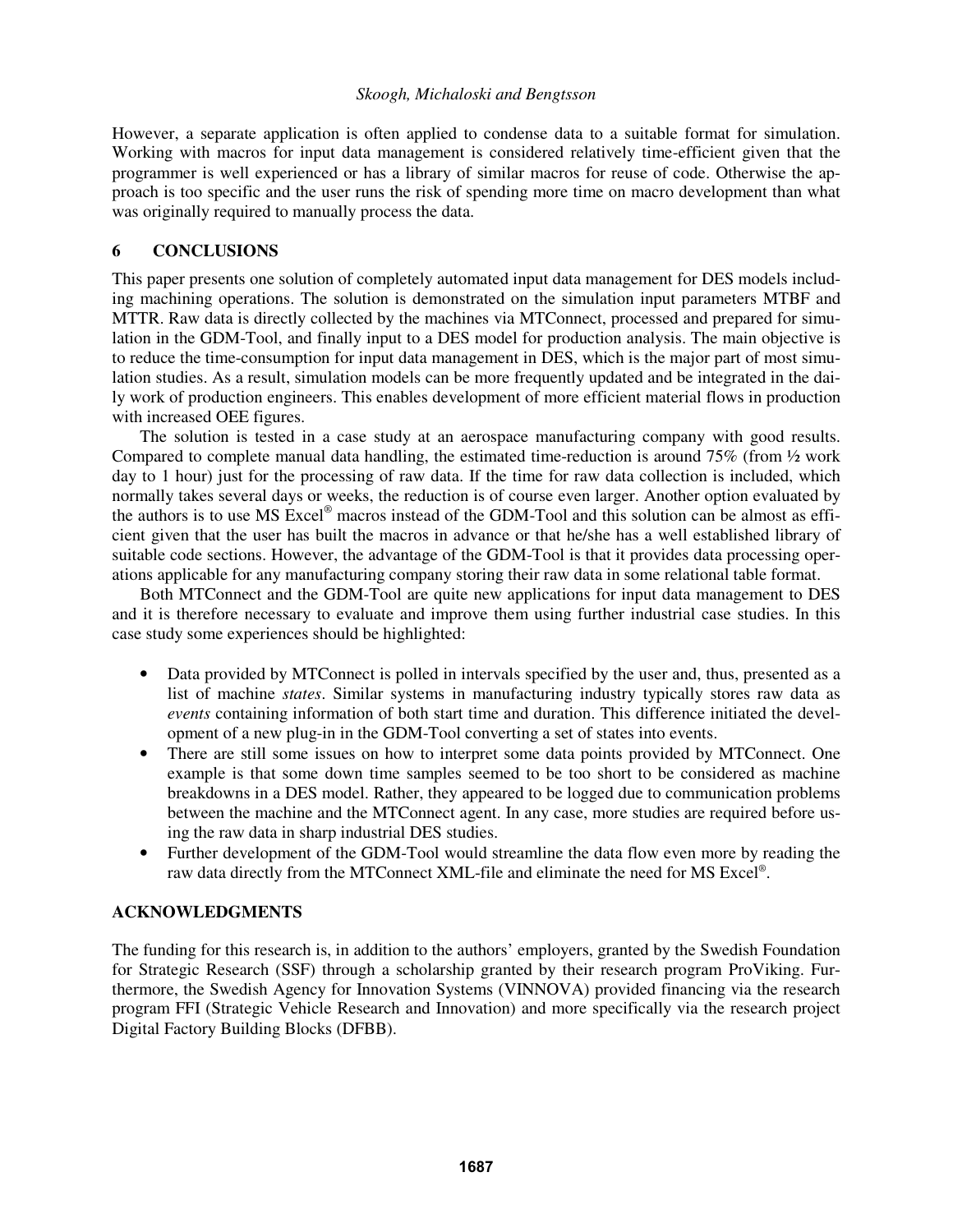However, a separate application is often applied to condense data to a suitable format for simulation. Working with macros for input data management is considered relatively time-efficient given that the programmer is well experienced or has a library of similar macros for reuse of code. Otherwise the approach is too specific and the user runs the risk of spending more time on macro development than what was originally required to manually process the data.

# **6 CONCLUSIONS**

This paper presents one solution of completely automated input data management for DES models including machining operations. The solution is demonstrated on the simulation input parameters MTBF and MTTR. Raw data is directly collected by the machines via MTConnect, processed and prepared for simulation in the GDM-Tool, and finally input to a DES model for production analysis. The main objective is to reduce the time-consumption for input data management in DES, which is the major part of most simulation studies. As a result, simulation models can be more frequently updated and be integrated in the daily work of production engineers. This enables development of more efficient material flows in production with increased OEE figures.

 The solution is tested in a case study at an aerospace manufacturing company with good results. Compared to complete manual data handling, the estimated time-reduction is around  $75\%$  (from  $\frac{1}{2}$  work day to 1 hour) just for the processing of raw data. If the time for raw data collection is included, which normally takes several days or weeks, the reduction is of course even larger. Another option evaluated by the authors is to use MS Excel® macros instead of the GDM-Tool and this solution can be almost as efficient given that the user has built the macros in advance or that he/she has a well established library of suitable code sections. However, the advantage of the GDM-Tool is that it provides data processing operations applicable for any manufacturing company storing their raw data in some relational table format.

 Both MTConnect and the GDM-Tool are quite new applications for input data management to DES and it is therefore necessary to evaluate and improve them using further industrial case studies. In this case study some experiences should be highlighted:

- Data provided by MTConnect is polled in intervals specified by the user and, thus, presented as a list of machine *states*. Similar systems in manufacturing industry typically stores raw data as *events* containing information of both start time and duration. This difference initiated the development of a new plug-in in the GDM-Tool converting a set of states into events.
- There are still some issues on how to interpret some data points provided by MTConnect. One example is that some down time samples seemed to be too short to be considered as machine breakdowns in a DES model. Rather, they appeared to be logged due to communication problems between the machine and the MTConnect agent. In any case, more studies are required before using the raw data in sharp industrial DES studies.
- Further development of the GDM-Tool would streamline the data flow even more by reading the raw data directly from the MTConnect XML-file and eliminate the need for MS Excel®.

# **ACKNOWLEDGMENTS**

The funding for this research is, in addition to the authors' employers, granted by the Swedish Foundation for Strategic Research (SSF) through a scholarship granted by their research program ProViking. Furthermore, the Swedish Agency for Innovation Systems (VINNOVA) provided financing via the research program FFI (Strategic Vehicle Research and Innovation) and more specifically via the research project Digital Factory Building Blocks (DFBB).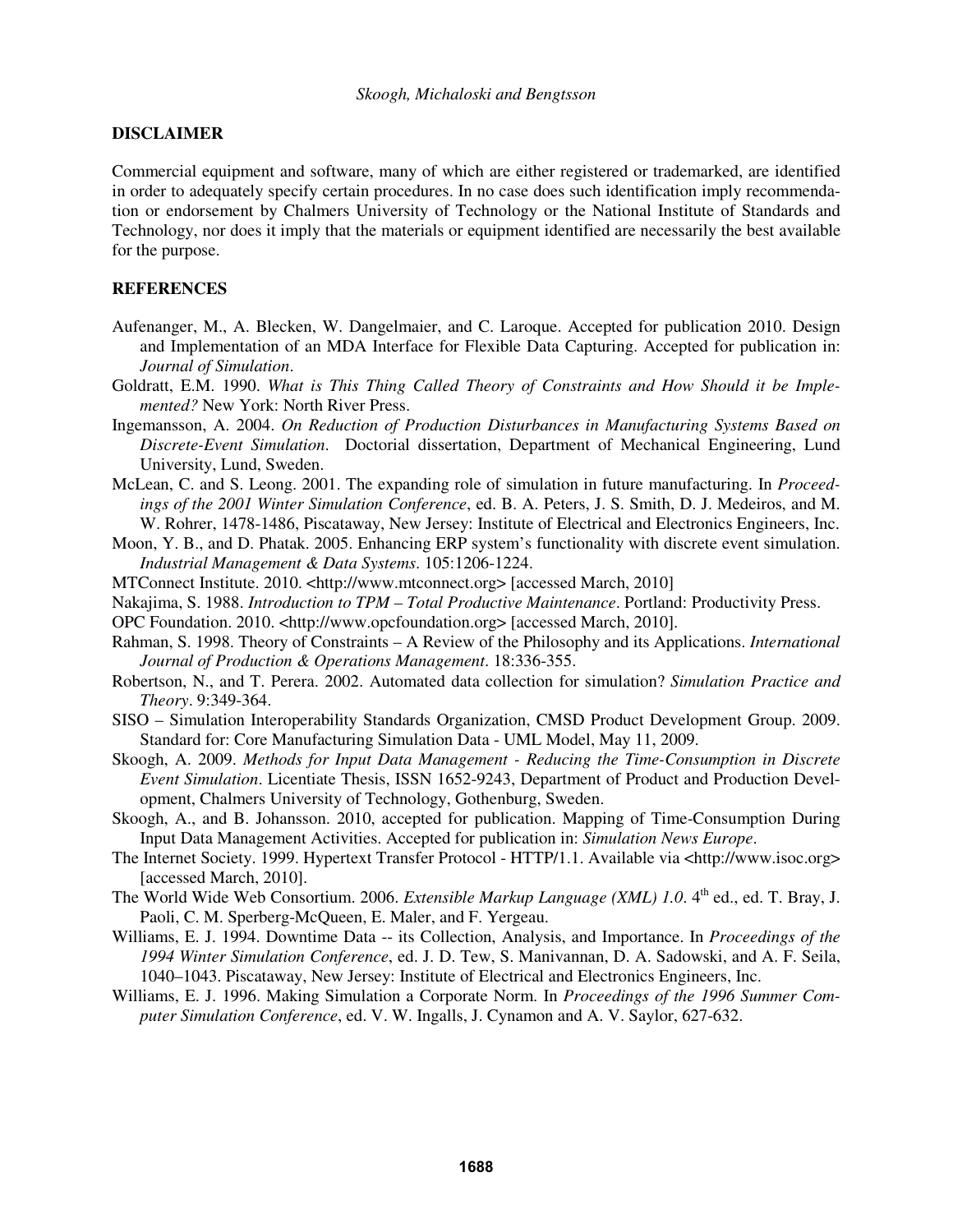## **DISCLAIMER**

Commercial equipment and software, many of which are either registered or trademarked, are identified in order to adequately specify certain procedures. In no case does such identification imply recommendation or endorsement by Chalmers University of Technology or the National Institute of Standards and Technology, nor does it imply that the materials or equipment identified are necessarily the best available for the purpose.

#### **REFERENCES**

- Aufenanger, M., A. Blecken, W. Dangelmaier, and C. Laroque. Accepted for publication 2010. Design and Implementation of an MDA Interface for Flexible Data Capturing. Accepted for publication in: *Journal of Simulation*.
- Goldratt, E.M. 1990. *What is This Thing Called Theory of Constraints and How Should it be Implemented?* New York: North River Press.
- Ingemansson, A. 2004. *On Reduction of Production Disturbances in Manufacturing Systems Based on Discrete-Event Simulation*. Doctorial dissertation, Department of Mechanical Engineering, Lund University, Lund, Sweden.
- McLean, C. and S. Leong. 2001. The expanding role of simulation in future manufacturing. In *Proceedings of the 2001 Winter Simulation Conference*, ed. B. A. Peters, J. S. Smith, D. J. Medeiros, and M. W. Rohrer, 1478-1486, Piscataway, New Jersey: Institute of Electrical and Electronics Engineers, Inc.
- Moon, Y. B., and D. Phatak. 2005. Enhancing ERP system's functionality with discrete event simulation. *Industrial Management & Data Systems*. 105:1206-1224.
- MTConnect Institute. 2010. <http://www.mtconnect.org> [accessed March, 2010]
- Nakajima, S. 1988. *Introduction to TPM Total Productive Maintenance*. Portland: Productivity Press.
- OPC Foundation. 2010. <http://www.opcfoundation.org> [accessed March, 2010].
- Rahman, S. 1998. Theory of Constraints A Review of the Philosophy and its Applications. *International Journal of Production & Operations Management*. 18:336-355.
- Robertson, N., and T. Perera. 2002. Automated data collection for simulation? *Simulation Practice and Theory*. 9:349-364.
- SISO Simulation Interoperability Standards Organization, CMSD Product Development Group. 2009. Standard for: Core Manufacturing Simulation Data - UML Model, May 11, 2009.
- Skoogh, A. 2009. *Methods for Input Data Management Reducing the Time-Consumption in Discrete Event Simulation*. Licentiate Thesis, ISSN 1652-9243, Department of Product and Production Development, Chalmers University of Technology, Gothenburg, Sweden.
- Skoogh, A., and B. Johansson. 2010, accepted for publication. Mapping of Time-Consumption During Input Data Management Activities. Accepted for publication in: *Simulation News Europe*.
- The Internet Society. 1999. Hypertext Transfer Protocol HTTP/1.1. Available via <http://www.isoc.org> [accessed March, 2010].
- The World Wide Web Consortium. 2006. *Extensible Markup Language (XML) 1.0*. 4<sup>th</sup> ed., ed. T. Bray, J. Paoli, C. M. Sperberg-McQueen, E. Maler, and F. Yergeau.
- Williams, E. J. 1994. Downtime Data -- its Collection, Analysis, and Importance. In *Proceedings of the 1994 Winter Simulation Conference*, ed. J. D. Tew, S. Manivannan, D. A. Sadowski, and A. F. Seila, 1040–1043. Piscataway, New Jersey: Institute of Electrical and Electronics Engineers, Inc.
- Williams, E. J. 1996. Making Simulation a Corporate Norm. In *Proceedings of the 1996 Summer Computer Simulation Conference*, ed. V. W. Ingalls, J. Cynamon and A. V. Saylor, 627-632.